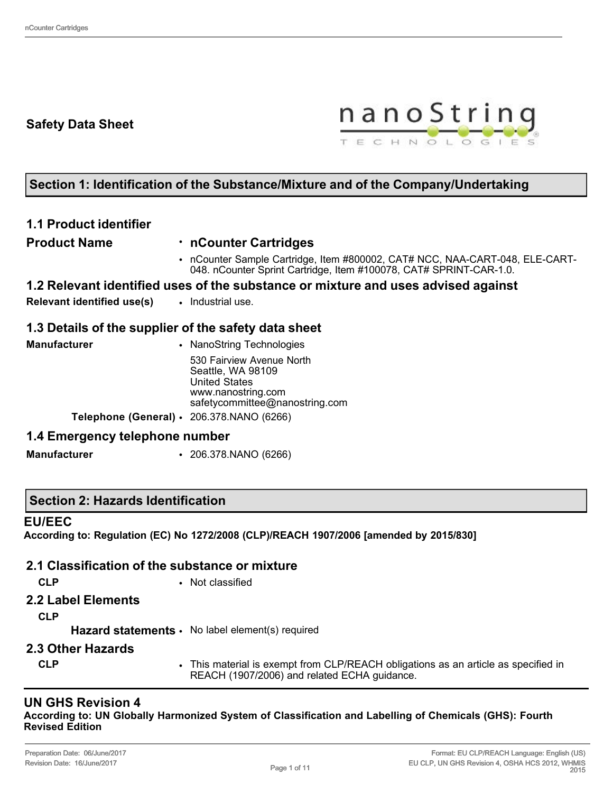# **Safety Data Sheet**



# **Section 1: Identification of the Substance/Mixture and of the Company/Undertaking**

## **1.1 Product identifier**

#### **Product Name** • **nCounter Cartridges**

• nCounter Sample Cartridge, Item #800002, CAT# NCC, NAA-CART-048, ELE-CART-048. nCounter Sprint Cartridge, Item #100078, CAT# SPRINT-CAR-1.0.

### **1.2 Relevant identified uses of the substance or mixture and uses advised against**

**Relevant identified use(s)** • Industrial use.

### **1.3 Details of the supplier of the safety data sheet**

| <b>Manufacturer</b>                             | • NanoString Technologies                                                                                                      |
|-------------------------------------------------|--------------------------------------------------------------------------------------------------------------------------------|
|                                                 | 530 Fairview Avenue North<br>Seattle, WA 98109<br><b>United States</b><br>www.nanostring.com<br>safetycommittee@nanostring.com |
| Telephone (General) $\cdot$ 206.378.NANO (6266) |                                                                                                                                |

### **1.4 Emergency telephone number**

**Manufacturer** • 206.378.NANO (6266)

### **Section 2: Hazards Identification**

#### **EU/EEC**

**According to: Regulation (EC) No 1272/2008 (CLP)/REACH 1907/2006 [amended by 2015/830]**

### **2.1 Classification of the substance or mixture**

**CLP** • Not classified

**2.2 Label Elements**

**CLP**

Hazard statements · No label element(s) required

- **2.3 Other Hazards**
	-
	- **CLP** This material is exempt from CLP/REACH obligations as an article as specified in REACH (1907/2006) and related ECHA guidance.

### **UN GHS Revision 4**

**According to: UN Globally Harmonized System of Classification and Labelling of Chemicals (GHS): Fourth Revised Edition**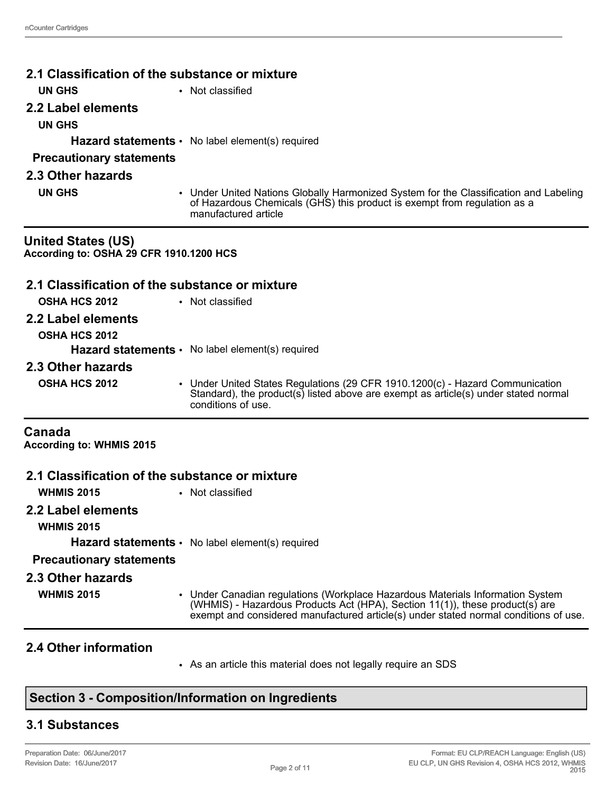| 2.1 Classification of the substance or mixture                       |                                                                                                                                                                                                                                                        |
|----------------------------------------------------------------------|--------------------------------------------------------------------------------------------------------------------------------------------------------------------------------------------------------------------------------------------------------|
| <b>UN GHS</b>                                                        | • Not classified                                                                                                                                                                                                                                       |
| 2.2 Label elements                                                   |                                                                                                                                                                                                                                                        |
| <b>UN GHS</b>                                                        |                                                                                                                                                                                                                                                        |
|                                                                      | <b>Hazard statements <math>\cdot</math></b> No label element(s) required                                                                                                                                                                               |
| <b>Precautionary statements</b>                                      |                                                                                                                                                                                                                                                        |
| 2.3 Other hazards                                                    |                                                                                                                                                                                                                                                        |
| <b>UN GHS</b>                                                        | • Under United Nations Globally Harmonized System for the Classification and Labeling<br>of Hazardous Chemicals (GHS) this product is exempt from regulation as a<br>manufactured article                                                              |
| <b>United States (US)</b><br>According to: OSHA 29 CFR 1910.1200 HCS |                                                                                                                                                                                                                                                        |
| 2.1 Classification of the substance or mixture                       |                                                                                                                                                                                                                                                        |
| OSHA HCS 2012                                                        | • Not classified                                                                                                                                                                                                                                       |
| 2.2 Label elements                                                   |                                                                                                                                                                                                                                                        |
| <b>OSHA HCS 2012</b>                                                 |                                                                                                                                                                                                                                                        |
|                                                                      | <b>Hazard statements <math>\cdot</math></b> No label element(s) required                                                                                                                                                                               |
| 2.3 Other hazards                                                    |                                                                                                                                                                                                                                                        |
| <b>OSHA HCS 2012</b>                                                 | • Under United States Regulations (29 CFR 1910.1200(c) - Hazard Communication<br>Standard), the product(s) listed above are exempt as article(s) under stated normal<br>conditions of use.                                                             |
| Canada<br><b>According to: WHMIS 2015</b>                            |                                                                                                                                                                                                                                                        |
| 2.1 Classification of the substance or mixture                       |                                                                                                                                                                                                                                                        |
| <b>WHMIS 2015</b>                                                    | • Not classified                                                                                                                                                                                                                                       |
| 2.2 Label elements<br><b>WHMIS 2015</b>                              |                                                                                                                                                                                                                                                        |
|                                                                      | <b>Hazard statements <math>\cdot</math></b> No label element(s) required                                                                                                                                                                               |
| <b>Precautionary statements</b>                                      |                                                                                                                                                                                                                                                        |
| 2.3 Other hazards                                                    |                                                                                                                                                                                                                                                        |
| <b>WHMIS 2015</b>                                                    | • Under Canadian regulations (Workplace Hazardous Materials Information System<br>(WHMIS) - Hazardous Products Act (HPA), Section 11(1)), these product(s) are<br>exempt and considered manufactured article(s) under stated normal conditions of use. |

### **2.4 Other information**

• As an article this material does not legally require an SDS

# **Section 3 - Composition/Information on Ingredients**

# **3.1 Substances**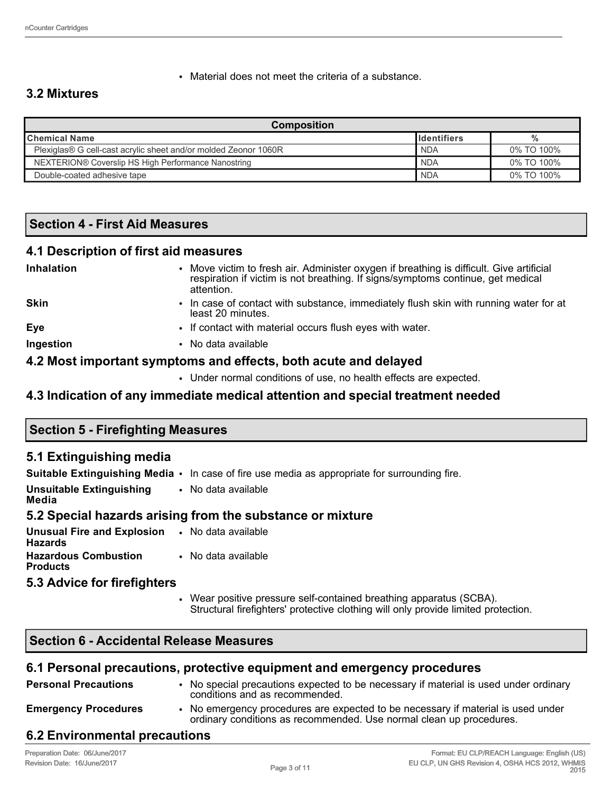• Material does not meet the criteria of a substance.

## **3.2 Mixtures**

| <b>Composition</b>                                                              |                      |            |  |
|---------------------------------------------------------------------------------|----------------------|------------|--|
| <b>I</b> Chemical Name                                                          | <b>I</b> Identifiers | %          |  |
| Plexiglas® G cell-cast acrylic sheet and/or molded Zeonor 1060R                 | <b>NDA</b>           | 0% TO 100% |  |
| <b>NDA</b><br>0% TO 100%<br>NEXTERION® Coverslip HS High Performance Nanostring |                      |            |  |
| Double-coated adhesive tape                                                     | <b>NDA</b>           | 0% TO 100% |  |

### **Section 4 - First Aid Measures**

#### **4.1 Description of first aid measures**

| Inhalation  | Move victim to fresh air. Administer oxygen if breathing is difficult. Give artificial<br>respiration if victim is not breathing. If signs/symptoms continue, get medical<br>attention. |
|-------------|-----------------------------------------------------------------------------------------------------------------------------------------------------------------------------------------|
| <b>Skin</b> | In case of contact with substance, immediately flush skin with running water for at<br>least 20 minutes.                                                                                |
| Eye         | • If contact with material occurs flush eyes with water.                                                                                                                                |
| Ingestion   | • No data available                                                                                                                                                                     |
|             | 4.2 Most important symptoms and effects, both acute and delayed                                                                                                                         |

• Under normal conditions of use, no health effects are expected.

### **4.3 Indication of any immediate medical attention and special treatment needed**

| <b>Section 5 - Firefighting Measures</b> |  |
|------------------------------------------|--|
|                                          |  |

### **5.1 Extinguishing media**

|                                                                         | <b>Suitable Extinguishing Media •</b> In case of fire use media as appropriate for surrounding fire. |
|-------------------------------------------------------------------------|------------------------------------------------------------------------------------------------------|
| <b>Unsuitable Extinguishing • No data available</b><br>Media            |                                                                                                      |
|                                                                         | 5.2 Special hazards arising from the substance or mixture                                            |
| <b>Unusual Fire and Explosion •</b> No data available<br><b>Hazards</b> |                                                                                                      |
| <b>Hazardous Combustion</b> • No data available<br><b>Products</b>      |                                                                                                      |

#### **5.3 Advice for firefighters**

• Wear positive pressure self-contained breathing apparatus (SCBA). Structural firefighters' protective clothing will only provide limited protection.

## **Section 6 - Accidental Release Measures**

#### **6.1 Personal precautions, protective equipment and emergency procedures**

| <b>Personal Precautions</b> | • No special precautions expected to be necessary if material is used under ordinary<br>conditions and as recommended.                                  |
|-----------------------------|---------------------------------------------------------------------------------------------------------------------------------------------------------|
| <b>Emergency Procedures</b> | • No emergency procedures are expected to be necessary if material is used under<br>ordinary conditions as recommended. Use normal clean up procedures. |

### **6.2 Environmental precautions**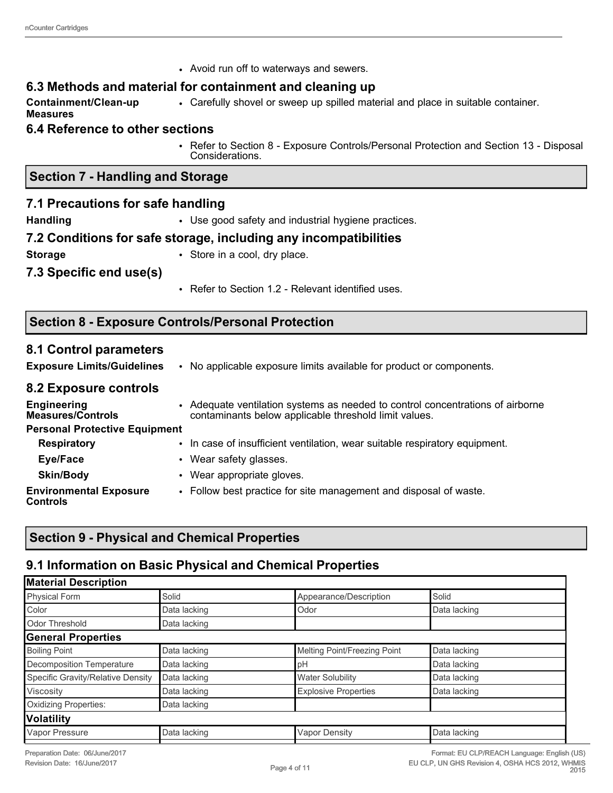|                                                 | • Avoid run off to waterways and sewers.                                                                                               |  |  |  |
|-------------------------------------------------|----------------------------------------------------------------------------------------------------------------------------------------|--|--|--|
|                                                 | 6.3 Methods and material for containment and cleaning up                                                                               |  |  |  |
| Containment/Clean-up<br><b>Measures</b>         | • Carefully shovel or sweep up spilled material and place in suitable container.                                                       |  |  |  |
| <b>6.4 Reference to other sections</b>          |                                                                                                                                        |  |  |  |
|                                                 | • Refer to Section 8 - Exposure Controls/Personal Protection and Section 13 - Disposal<br>Considerations.                              |  |  |  |
| <b>Section 7 - Handling and Storage</b>         |                                                                                                                                        |  |  |  |
| 7.1 Precautions for safe handling               |                                                                                                                                        |  |  |  |
| <b>Handling</b>                                 | • Use good safety and industrial hygiene practices.                                                                                    |  |  |  |
|                                                 | 7.2 Conditions for safe storage, including any incompatibilities                                                                       |  |  |  |
| • Store in a cool, dry place.<br><b>Storage</b> |                                                                                                                                        |  |  |  |
| 7.3 Specific end use(s)                         |                                                                                                                                        |  |  |  |
|                                                 | • Refer to Section 1.2 - Relevant identified uses.                                                                                     |  |  |  |
|                                                 | <b>Section 8 - Exposure Controls/Personal Protection</b>                                                                               |  |  |  |
| 8.1 Control parameters                          |                                                                                                                                        |  |  |  |
| <b>Exposure Limits/Guidelines</b>               | • No applicable exposure limits available for product or components.                                                                   |  |  |  |
| 8.2 Exposure controls                           |                                                                                                                                        |  |  |  |
| <b>Engineering</b><br>Mogeures/Controle         | • Adequate ventilation systems as needed to control concentrations of airborne<br>contaminante bolow applicable throshold limit values |  |  |  |

| <b>Engineering</b><br><b>Measures/Controls</b><br><b>Personal Protective Equipment</b> | • Adequate ventilation systems as needed to control concentrations of airborr<br>contaminants below applicable threshold limit values. |
|----------------------------------------------------------------------------------------|----------------------------------------------------------------------------------------------------------------------------------------|
|                                                                                        |                                                                                                                                        |
| <b>Respiratory</b>                                                                     | • In case of insufficient ventilation, wear suitable respiratory equipment.                                                            |
| Eye/Face                                                                               | • Wear safety glasses.                                                                                                                 |
| <b>Skin/Body</b>                                                                       | • Wear appropriate gloves.                                                                                                             |
| <b>Environmental Exposure</b><br><b>Controls</b>                                       | • Follow best practice for site management and disposal of waste.                                                                      |

# **Section 9 - Physical and Chemical Properties**

# **9.1 Information on Basic Physical and Chemical Properties**

| <b>Material Description</b>       |              |                              |              |
|-----------------------------------|--------------|------------------------------|--------------|
| <b>Physical Form</b>              | Solid        | Appearance/Description       | Solid        |
| Color                             | Data lacking | Odor                         | Data lacking |
| Odor Threshold                    | Data lacking |                              |              |
| <b>General Properties</b>         |              |                              |              |
| <b>Boiling Point</b>              | Data lacking | Melting Point/Freezing Point | Data lacking |
| Decomposition Temperature         | Data lacking | pH                           | Data lacking |
| Specific Gravity/Relative Density | Data lacking | <b>Water Solubility</b>      | Data lacking |
| Viscosity                         | Data lacking | <b>Explosive Properties</b>  | Data lacking |
| <b>Oxidizing Properties:</b>      | Data lacking |                              |              |
| Volatility                        |              |                              |              |
| Vapor Pressure                    | Data lacking | <b>Vapor Density</b>         | Data lacking |
|                                   |              |                              |              |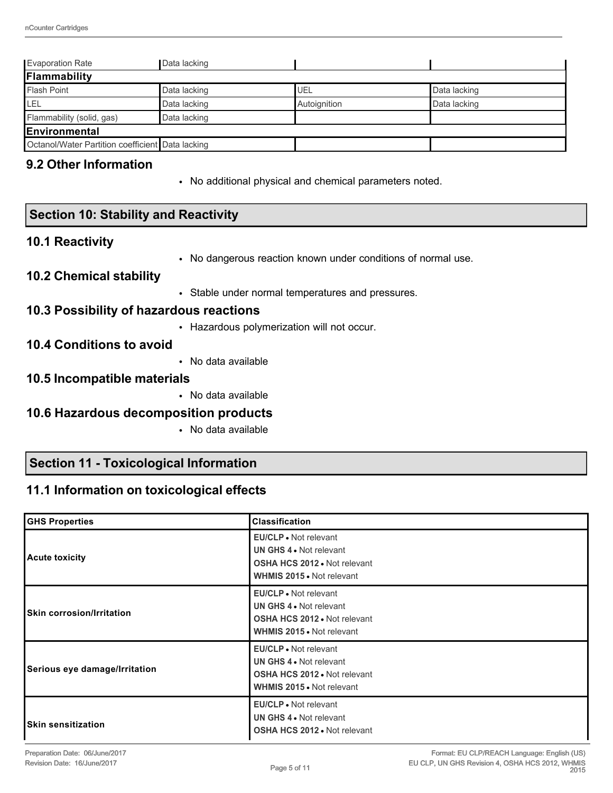| <b>Evaporation Rate</b>                          | Data lacking |              |              |  |
|--------------------------------------------------|--------------|--------------|--------------|--|
| <b>Flammability</b>                              |              |              |              |  |
| <b>Flash Point</b>                               | Data lacking | UEL          | Data lacking |  |
| LEL                                              | Data lacking | Autoignition | Data lacking |  |
| Flammability (solid, gas)                        | Data lacking |              |              |  |
| Environmental                                    |              |              |              |  |
| Octanol/Water Partition coefficient Data lacking |              |              |              |  |

### **9.2 Other Information**

• No additional physical and chemical parameters noted.

### **Section 10: Stability and Reactivity**

### **10.1 Reactivity**

• No dangerous reaction known under conditions of normal use.

#### **10.2 Chemical stability**

• Stable under normal temperatures and pressures.

#### **10.3 Possibility of hazardous reactions**

• Hazardous polymerization will not occur.

### **10.4 Conditions to avoid**

• No data available

#### **10.5 Incompatible materials**

• No data available

### **10.6 Hazardous decomposition products**

• No data available

### **Section 11 - Toxicological Information**

### **11.1 Information on toxicological effects**

| <b>GHS Properties</b>            | <b>Classification</b>                                                                                                              |
|----------------------------------|------------------------------------------------------------------------------------------------------------------------------------|
| <b>Acute toxicity</b>            | <b>EU/CLP</b> • Not relevant<br>UN GHS 4 . Not relevant<br><b>OSHA HCS 2012 • Not relevant</b><br><b>WHMIS 2015 • Not relevant</b> |
| <b>Skin corrosion/Irritation</b> | <b>EU/CLP</b> • Not relevant<br>UN GHS 4 . Not relevant<br><b>OSHA HCS 2012 . Not relevant</b><br><b>WHMIS 2015 .</b> Not relevant |
| Serious eye damage/Irritation    | EU/CLP • Not relevant<br>UN GHS 4 . Not relevant<br><b>OSHA HCS 2012 • Not relevant</b><br><b>WHMIS 2015 • Not relevant</b>        |
| <b>Skin sensitization</b>        | <b>EU/CLP</b> • Not relevant<br>UN GHS 4 • Not relevant<br><b>OSHA HCS 2012 • Not relevant</b>                                     |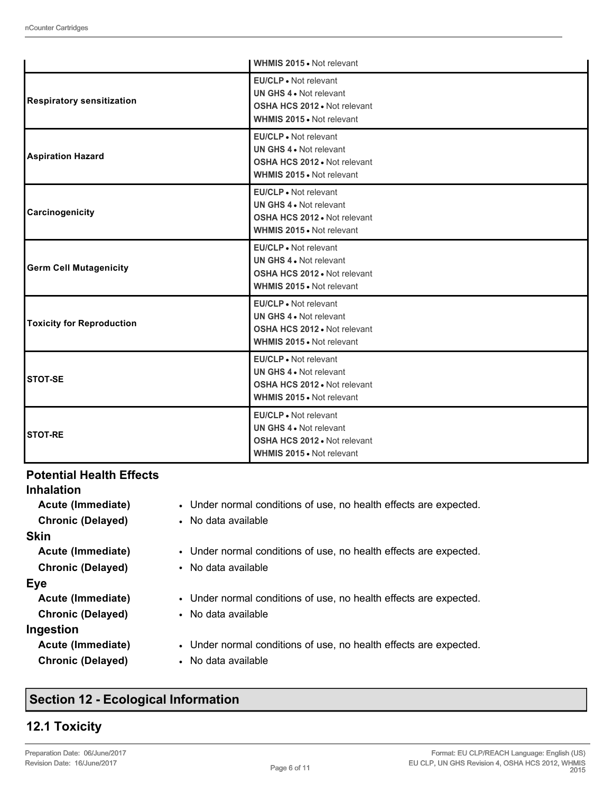|                                  | <b>WHMIS 2015 .</b> Not relevant                                                                                     |
|----------------------------------|----------------------------------------------------------------------------------------------------------------------|
| <b>Respiratory sensitization</b> | EU/CLP . Not relevant<br>UN GHS 4 . Not relevant<br>OSHA HCS 2012 . Not relevant<br>WHMIS 2015 . Not relevant        |
| <b>Aspiration Hazard</b>         | EU/CLP . Not relevant<br>UN GHS 4 . Not relevant<br>OSHA HCS 2012 . Not relevant<br><b>WHMIS 2015 • Not relevant</b> |
| Carcinogenicity                  | EU/CLP . Not relevant<br>UN GHS 4 . Not relevant<br>OSHA HCS 2012 . Not relevant<br><b>WHMIS 2015 • Not relevant</b> |
| <b>Germ Cell Mutagenicity</b>    | EU/CLP • Not relevant<br>UN GHS 4 . Not relevant<br>OSHA HCS 2012 . Not relevant<br>WHMIS 2015 . Not relevant        |
| <b>Toxicity for Reproduction</b> | EU/CLP . Not relevant<br>UN GHS 4 . Not relevant<br>OSHA HCS 2012 . Not relevant<br>WHMIS 2015 . Not relevant        |
| <b>STOT-SE</b>                   | EU/CLP . Not relevant<br>UN GHS 4 . Not relevant<br>OSHA HCS 2012 . Not relevant<br>WHMIS 2015 . Not relevant        |
| <b>STOT-RE</b>                   | EU/CLP . Not relevant<br>UN GHS 4 . Not relevant<br>OSHA HCS 2012 . Not relevant<br><b>WHMIS 2015 .</b> Not relevant |

#### **Potential Health Effects**

| <b>Inhalation</b>        |                                                                   |
|--------------------------|-------------------------------------------------------------------|
| Acute (Immediate)        | • Under normal conditions of use, no health effects are expected. |
| <b>Chronic (Delayed)</b> | • No data available                                               |
| <b>Skin</b>              |                                                                   |
| Acute (Immediate)        | • Under normal conditions of use, no health effects are expected. |
| <b>Chronic (Delayed)</b> | • No data available                                               |
| <b>Eye</b>               |                                                                   |
| Acute (Immediate)        | • Under normal conditions of use, no health effects are expected. |
| <b>Chronic (Delayed)</b> | • No data available                                               |
| Ingestion                |                                                                   |
| Acute (Immediate)        | • Under normal conditions of use, no health effects are expected. |
| <b>Chronic (Delayed)</b> | • No data available                                               |
|                          |                                                                   |

# **Section 12 - Ecological Information**

## **12.1 Toxicity**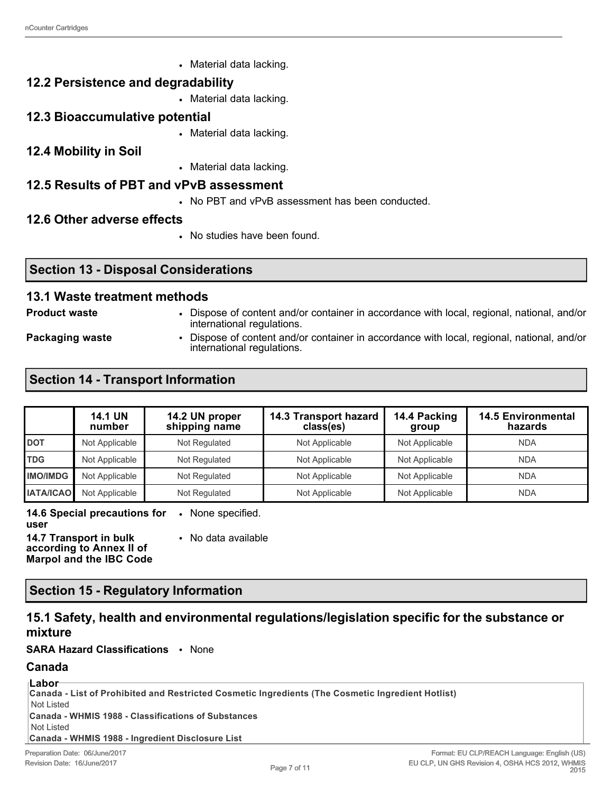• Material data lacking.

### **12.2 Persistence and degradability**

• Material data lacking.

### **12.3 Bioaccumulative potential**

- Material data lacking.
- **12.4 Mobility in Soil**
- Material data lacking.

### **12.5 Results of PBT and vPvB assessment**

• No PBT and vPvB assessment has been conducted.

### **12.6 Other adverse effects**

• No studies have been found.

### **Section 13 - Disposal Considerations**

#### **13.1 Waste treatment methods**

- 
- **Product waste** Dispose of content and/or container in accordance with local, regional, national, and/or international regulations.

**Packaging waste • Dispose of content and/or container in accordance with local, regional, national, and/or** international regulations.

## **Section 14 - Transport Information**

|                  | <b>14.1 UN</b><br>number | 14.2 UN proper<br>shipping name | 14.3 Transport hazard<br>class(es) | 14.4 Packing<br>group | <b>14.5 Environmental</b><br>hazards |
|------------------|--------------------------|---------------------------------|------------------------------------|-----------------------|--------------------------------------|
| <b>DOT</b>       | Not Applicable           | Not Regulated                   | Not Applicable                     | Not Applicable        | <b>NDA</b>                           |
| <b>TDG</b>       | Not Applicable           | Not Regulated                   | Not Applicable                     | Not Applicable        | <b>NDA</b>                           |
| <b>IMO/IMDG</b>  | Not Applicable           | Not Regulated                   | Not Applicable                     | Not Applicable        | <b>NDA</b>                           |
| <b>IATA/ICAO</b> | Not Applicable           | Not Regulated                   | Not Applicable                     | Not Applicable        | <b>NDA</b>                           |

**14.6 Special precautions for**  • None specified. **user**

**14.7 Transport in bulk according to Annex II of Marpol and the IBC Code** • No data available

## **Section 15 - Regulatory Information**

## **15.1 Safety, health and environmental regulations/legislation specific for the substance or mixture**

**SARA Hazard Classifications** • None

### **Canada**

| ⊺Labor                                                                                            |
|---------------------------------------------------------------------------------------------------|
|                                                                                                   |
| Canada - List of Prohibited and Restricted Cosmetic Ingredients (The Cosmetic Ingredient Hotlist) |
| Not Listed                                                                                        |
| Canada - WHMIS 1988 - Classifications of Substances                                               |
| Not Listed                                                                                        |
| Canada - WHMIS 1988 - Ingredient Disclosure List                                                  |
| Preparation Date: 06/June/2017<br>Format: EU CLP/REACH La                                         |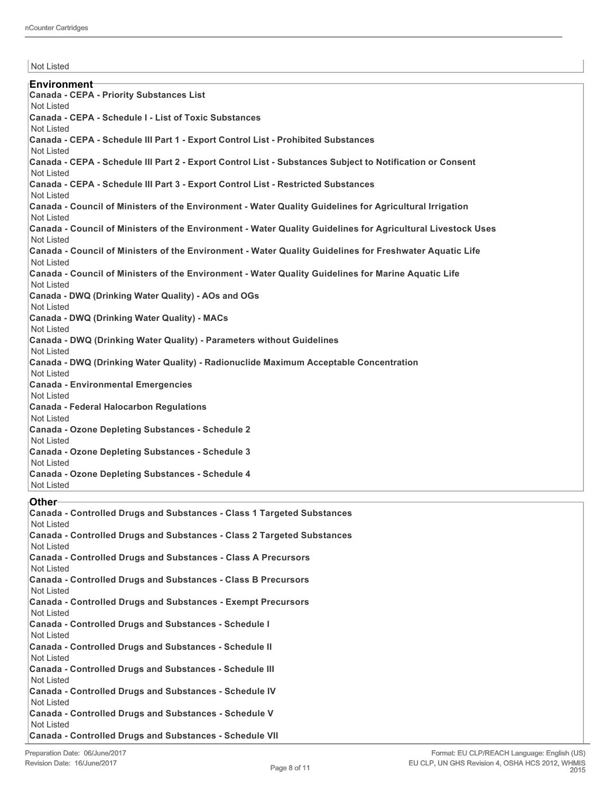Not Listed **Environment Canada - CEPA - Priority Substances List** Not Listed **Canada - CEPA - Schedule I - List of Toxic Substances** Not Listed **Canada - CEPA - Schedule III Part 1 - Export Control List - Prohibited Substances** Not Listed **Canada - CEPA - Schedule III Part 2 - Export Control List - Substances Subject to Notification or Consent** Not Listed **Canada - CEPA - Schedule III Part 3 - Export Control List - Restricted Substances** Not Listed **Canada - Council of Ministers of the Environment - Water Quality Guidelines for Agricultural Irrigation** Not Listed **Canada - Council of Ministers of the Environment - Water Quality Guidelines for Agricultural Livestock Uses** Not Listed **Canada - Council of Ministers of the Environment - Water Quality Guidelines for Freshwater Aquatic Life** Not Listed **Canada - Council of Ministers of the Environment - Water Quality Guidelines for Marine Aquatic Life** Not Listed **Canada - DWQ (Drinking Water Quality) - AOs and OGs** Not Listed **Canada - DWQ (Drinking Water Quality) - MACs** Not Listed **Canada - DWQ (Drinking Water Quality) - Parameters without Guidelines** Not Listed **Canada - DWQ (Drinking Water Quality) - Radionuclide Maximum Acceptable Concentration** Not Listed **Canada - Environmental Emergencies** Not Listed **Canada - Federal Halocarbon Regulations** Not Listed **Canada - Ozone Depleting Substances - Schedule 2** Not Listed **Canada - Ozone Depleting Substances - Schedule 3** Not Listed **Canada - Ozone Depleting Substances - Schedule 4** Not Listed

#### **Other**

| Canada - Controlled Drugs and Substances - Class 1 Targeted Substances<br>Not Listed |
|--------------------------------------------------------------------------------------|
| Canada - Controlled Drugs and Substances - Class 2 Targeted Substances<br>Not Listed |
| Canada - Controlled Drugs and Substances - Class A Precursors<br>Not Listed          |
| Canada - Controlled Drugs and Substances - Class B Precursors<br>Not Listed          |
| Canada - Controlled Drugs and Substances - Exempt Precursors<br>Not Listed           |
| <b>Canada - Controlled Drugs and Substances - Schedule I</b><br>Not Listed           |
| <b>Canada - Controlled Drugs and Substances - Schedule II</b><br>Not Listed          |
| <b>Canada - Controlled Drugs and Substances - Schedule III</b><br>Not Listed         |
| <b>Canada - Controlled Drugs and Substances - Schedule IV</b><br>Not Listed          |
| <b>Canada - Controlled Drugs and Substances - Schedule V</b><br>Not Listed           |
| <b>Canada - Controlled Drugs and Substances - Schedule VII</b>                       |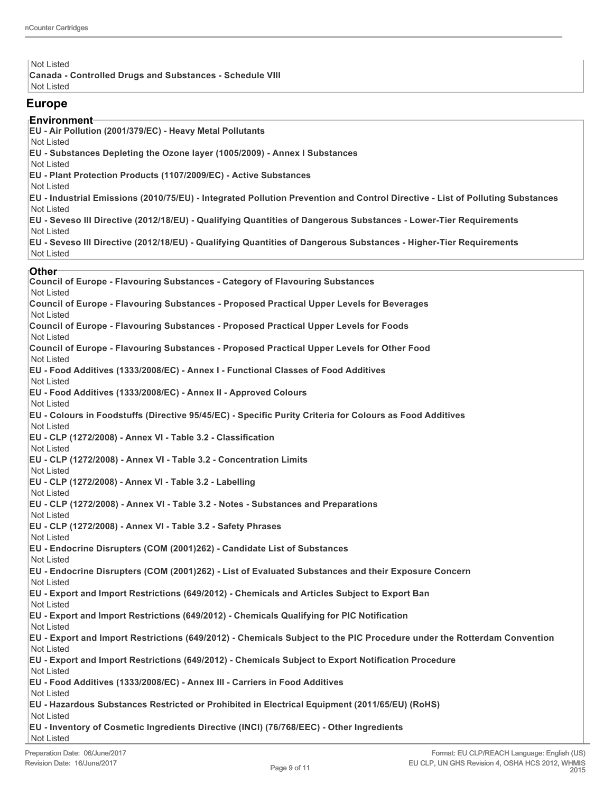Not Listed **Canada - Controlled Drugs and Substances - Schedule VIII** Not Listed

#### **Europe**

#### **Environment**

**EU - Air Pollution (2001/379/EC) - Heavy Metal Pollutants**

Not Listed

**EU - Substances Depleting the Ozone layer (1005/2009) - Annex I Substances**

Not Listed

**EU - Plant Protection Products (1107/2009/EC) - Active Substances**

Not Listed

**EU - Industrial Emissions (2010/75/EU) - Integrated Pollution Prevention and Control Directive - List of Polluting Substances** Not Listed

**EU - Seveso III Directive (2012/18/EU) - Qualifying Quantities of Dangerous Substances - Lower-Tier Requirements**

Not Listed

**EU - Seveso III Directive (2012/18/EU) - Qualifying Quantities of Dangerous Substances - Higher-Tier Requirements** Not Listed

#### **Other**

**Council of Europe - Flavouring Substances - Category of Flavouring Substances** Not Listed **Council of Europe - Flavouring Substances - Proposed Practical Upper Levels for Beverages** Not Listed **Council of Europe - Flavouring Substances - Proposed Practical Upper Levels for Foods** Not Listed **Council of Europe - Flavouring Substances - Proposed Practical Upper Levels for Other Food** Not Listed **EU - Food Additives (1333/2008/EC) - Annex I - Functional Classes of Food Additives** Not Listed **EU - Food Additives (1333/2008/EC) - Annex II - Approved Colours** Not Listed **EU - Colours in Foodstuffs (Directive 95/45/EC) - Specific Purity Criteria for Colours as Food Additives** Not Listed **EU - CLP (1272/2008) - Annex VI - Table 3.2 - Classification** Not Listed **EU - CLP (1272/2008) - Annex VI - Table 3.2 - Concentration Limits** Not Listed **EU - CLP (1272/2008) - Annex VI - Table 3.2 - Labelling** Not Listed **EU - CLP (1272/2008) - Annex VI - Table 3.2 - Notes - Substances and Preparations** Not Listed **EU - CLP (1272/2008) - Annex VI - Table 3.2 - Safety Phrases** Not Listed **EU - Endocrine Disrupters (COM (2001)262) - Candidate List of Substances** Not Listed **EU - Endocrine Disrupters (COM (2001)262) - List of Evaluated Substances and their Exposure Concern** Not Listed **EU - Export and Import Restrictions (649/2012) - Chemicals and Articles Subject to Export Ban** Not Listed **EU - Export and Import Restrictions (649/2012) - Chemicals Qualifying for PIC Notification** Not Listed **EU - Export and Import Restrictions (649/2012) - Chemicals Subject to the PIC Procedure under the Rotterdam Convention** Not Listed **EU - Export and Import Restrictions (649/2012) - Chemicals Subject to Export Notification Procedure** Not Listed **EU - Food Additives (1333/2008/EC) - Annex III - Carriers in Food Additives** Not Listed **EU - Hazardous Substances Restricted or Prohibited in Electrical Equipment (2011/65/EU) (RoHS)** Not Listed **EU - Inventory of Cosmetic Ingredients Directive (INCI) (76/768/EEC) - Other Ingredients** Not Listed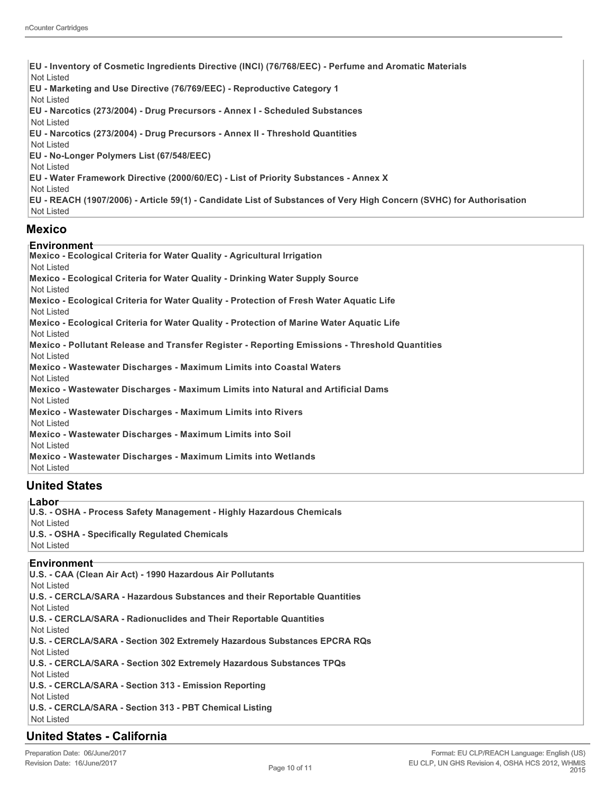**EU - Inventory of Cosmetic Ingredients Directive (INCI) (76/768/EEC) - Perfume and Aromatic Materials** Not Listed **EU - Marketing and Use Directive (76/769/EEC) - Reproductive Category 1** Not Listed **EU - Narcotics (273/2004) - Drug Precursors - Annex I - Scheduled Substances** Not Listed **EU - Narcotics (273/2004) - Drug Precursors - Annex II - Threshold Quantities** Not Listed **EU - No-Longer Polymers List (67/548/EEC)** Not Listed **EU - Water Framework Directive (2000/60/EC) - List of Priority Substances - Annex X** Not Listed **EU - REACH (1907/2006) - Article 59(1) - Candidate List of Substances of Very High Concern (SVHC) for Authorisation**

Not Listed

#### **Mexico**

#### **Environment**

**Mexico - Ecological Criteria for Water Quality - Agricultural Irrigation** Not Listed **Mexico - Ecological Criteria for Water Quality - Drinking Water Supply Source** Not Listed **Mexico - Ecological Criteria for Water Quality - Protection of Fresh Water Aquatic Life** Not Listed **Mexico - Ecological Criteria for Water Quality - Protection of Marine Water Aquatic Life** Not Listed **Mexico - Pollutant Release and Transfer Register - Reporting Emissions - Threshold Quantities** Not Listed **Mexico - Wastewater Discharges - Maximum Limits into Coastal Waters** Not Listed **Mexico - Wastewater Discharges - Maximum Limits into Natural and Artificial Dams** Not Listed **Mexico - Wastewater Discharges - Maximum Limits into Rivers** Not Listed **Mexico - Wastewater Discharges - Maximum Limits into Soil** Not Listed **Mexico - Wastewater Discharges - Maximum Limits into Wetlands** Not Listed **United States**

#### **Labor**

**U.S. - OSHA - Process Safety Management - Highly Hazardous Chemicals** Not Listed **U.S. - OSHA - Specifically Regulated Chemicals** Not Listed

#### **Environment**

**U.S. - CAA (Clean Air Act) - 1990 Hazardous Air Pollutants** Not Listed **U.S. - CERCLA/SARA - Hazardous Substances and their Reportable Quantities** Not Listed **U.S. - CERCLA/SARA - Radionuclides and Their Reportable Quantities** Not Listed **U.S. - CERCLA/SARA - Section 302 Extremely Hazardous Substances EPCRA RQs** Not Listed **U.S. - CERCLA/SARA - Section 302 Extremely Hazardous Substances TPQs** Not Listed **U.S. - CERCLA/SARA - Section 313 - Emission Reporting** Not Listed **U.S. - CERCLA/SARA - Section 313 - PBT Chemical Listing** Not Listed

### **United States - California**